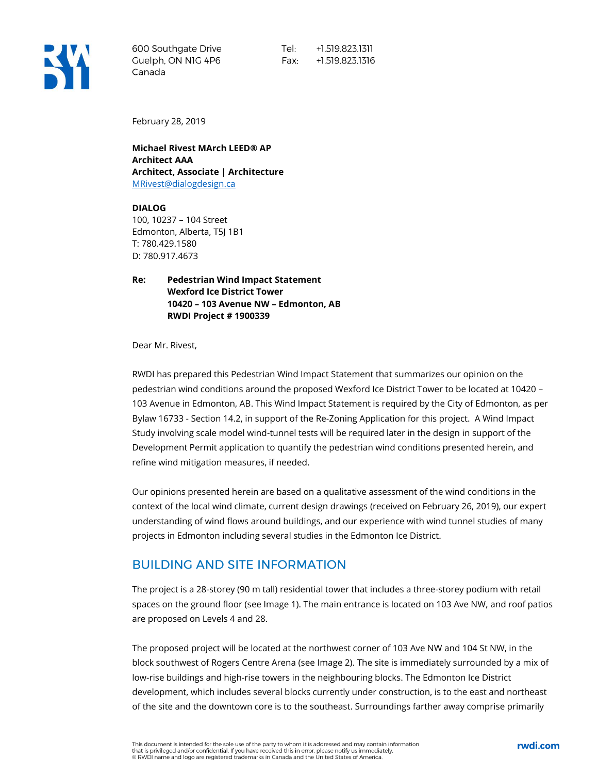

600 Southgate Drive Guelph, ON NIG 4P6 Canada

Tel: +1.519.823.1311 Fax: +1.519.823.1316

February 28, 2019

**Michael Rivest MArch LEED® AP Architect AAA Architect, Associate | Architecture** [MRivest@dialogdesign.ca](mailto:MRivest@dialogdesign.ca)

**DIALOG** 100, 10237 – 104 Street Edmonton, Alberta, T5J 1B1 T: 780.429.1580 D: 780.917.4673

**Re: Pedestrian Wind Impact Statement Wexford Ice District Tower 10420 – 103 Avenue NW – Edmonton, AB RWDI Project # 1900339**

Dear Mr. Rivest,

RWDI has prepared this Pedestrian Wind Impact Statement that summarizes our opinion on the pedestrian wind conditions around the proposed Wexford Ice District Tower to be located at 10420 – 103 Avenue in Edmonton, AB. This Wind Impact Statement is required by the City of Edmonton, as per Bylaw 16733 - Section 14.2, in support of the Re-Zoning Application for this project. A Wind Impact Study involving scale model wind-tunnel tests will be required later in the design in support of the Development Permit application to quantify the pedestrian wind conditions presented herein, and refine wind mitigation measures, if needed.

Our opinions presented herein are based on a qualitative assessment of the wind conditions in the context of the local wind climate, current design drawings (received on February 26, 2019), our expert understanding of wind flows around buildings, and our experience with wind tunnel studies of many projects in Edmonton including several studies in the Edmonton Ice District.

#### **BUILDING AND SITE INFORMATION**

The project is a 28-storey (90 m tall) residential tower that includes a three-storey podium with retail spaces on the ground floor (see Image 1). The main entrance is located on 103 Ave NW, and roof patios are proposed on Levels 4 and 28.

The proposed project will be located at the northwest corner of 103 Ave NW and 104 St NW, in the block southwest of Rogers Centre Arena (see Image 2). The site is immediately surrounded by a mix of low-rise buildings and high-rise towers in the neighbouring blocks. The Edmonton Ice District development, which includes several blocks currently under construction, is to the east and northeast of the site and the downtown core is to the southeast. Surroundings farther away comprise primarily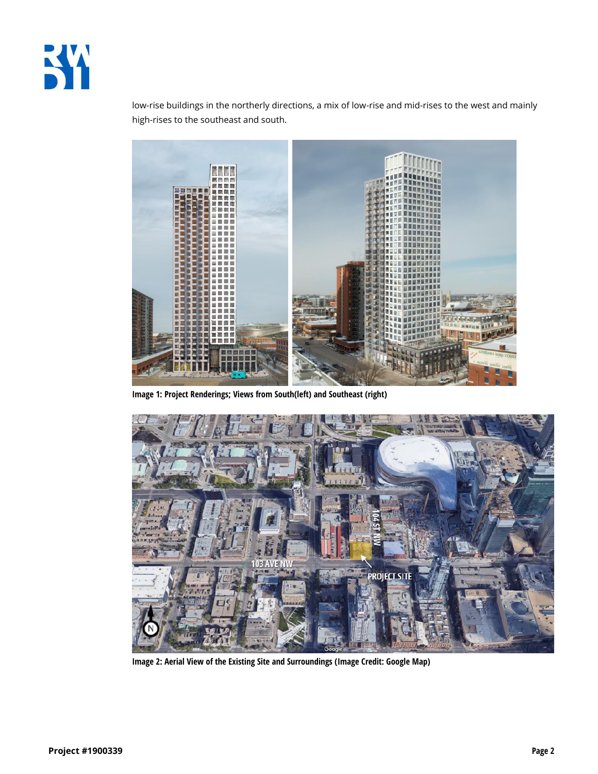

low-rise buildings in the northerly directions, a mix of low-rise and mid-rises to the west and mainly high-rises to the southeast and south.



**Image 1: Project Renderings; Views from South(left) and Southeast (right)**



**Image 2: Aerial View of the Existing Site and Surroundings (Image Credit: Google Map)**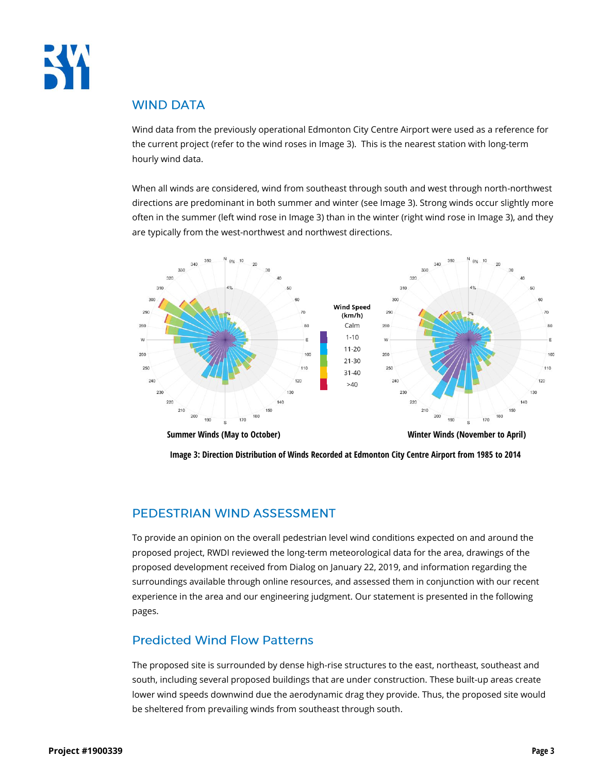

#### **WIND DATA**

Wind data from the previously operational Edmonton City Centre Airport were used as a reference for the current project (refer to the wind roses in Image 3). This is the nearest station with long-term hourly wind data.

When all winds are considered, wind from southeast through south and west through north-northwest directions are predominant in both summer and winter (see Image 3). Strong winds occur slightly more often in the summer (left wind rose in Image 3) than in the winter (right wind rose in Image 3), and they are typically from the west-northwest and northwest directions.



**Summer Winds (May to October) Winter Winds (November to April)**

**Image 3: Direction Distribution of Winds Recorded at Edmonton City Centre Airport from 1985 to 2014**

## PEDESTRIAN WIND ASSESSMENT

To provide an opinion on the overall pedestrian level wind conditions expected on and around the proposed project, RWDI reviewed the long-term meteorological data for the area, drawings of the proposed development received from Dialog on January 22, 2019, and information regarding the surroundings available through online resources, and assessed them in conjunction with our recent experience in the area and our engineering judgment. Our statement is presented in the following pages.

# **Predicted Wind Flow Patterns**

The proposed site is surrounded by dense high-rise structures to the east, northeast, southeast and south, including several proposed buildings that are under construction. These built-up areas create lower wind speeds downwind due the aerodynamic drag they provide. Thus, the proposed site would be sheltered from prevailing winds from southeast through south.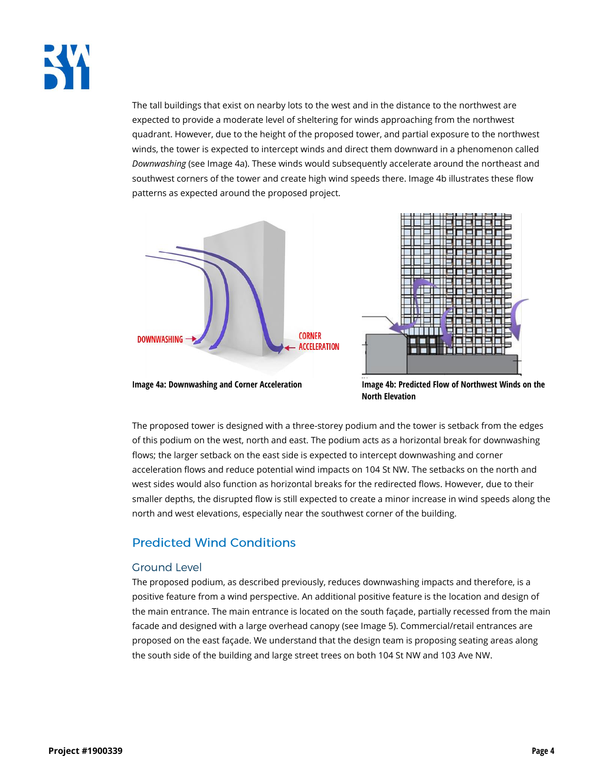

The tall buildings that exist on nearby lots to the west and in the distance to the northwest are expected to provide a moderate level of sheltering for winds approaching from the northwest quadrant. However, due to the height of the proposed tower, and partial exposure to the northwest winds, the tower is expected to intercept winds and direct them downward in a phenomenon called *Downwashing* (see Image 4a). These winds would subsequently accelerate around the northeast and southwest corners of the tower and create high wind speeds there. Image 4b illustrates these flow patterns as expected around the proposed project.





**Image 4a: Downwashing and Corner Acceleration Image 4b: Predicted Flow of Northwest Winds on the North Elevation**

The proposed tower is designed with a three-storey podium and the tower is setback from the edges of this podium on the west, north and east. The podium acts as a horizontal break for downwashing flows; the larger setback on the east side is expected to intercept downwashing and corner acceleration flows and reduce potential wind impacts on 104 St NW. The setbacks on the north and west sides would also function as horizontal breaks for the redirected flows. However, due to their smaller depths, the disrupted flow is still expected to create a minor increase in wind speeds along the north and west elevations, especially near the southwest corner of the building.

## **Predicted Wind Conditions**

#### **Ground Level**

The proposed podium, as described previously, reduces downwashing impacts and therefore, is a positive feature from a wind perspective. An additional positive feature is the location and design of the main entrance. The main entrance is located on the south façade, partially recessed from the main facade and designed with a large overhead canopy (see Image 5). Commercial/retail entrances are proposed on the east façade. We understand that the design team is proposing seating areas along the south side of the building and large street trees on both 104 St NW and 103 Ave NW.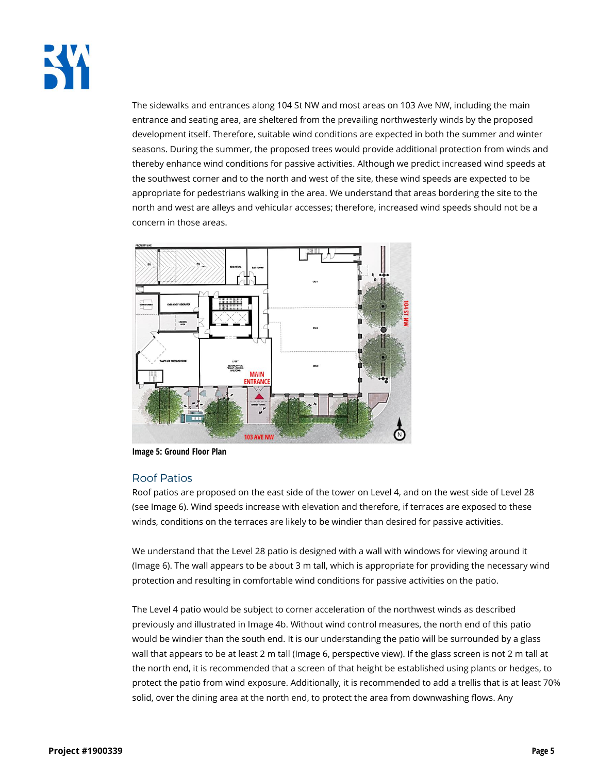

The sidewalks and entrances along 104 St NW and most areas on 103 Ave NW, including the main entrance and seating area, are sheltered from the prevailing northwesterly winds by the proposed development itself. Therefore, suitable wind conditions are expected in both the summer and winter seasons. During the summer, the proposed trees would provide additional protection from winds and thereby enhance wind conditions for passive activities. Although we predict increased wind speeds at the southwest corner and to the north and west of the site, these wind speeds are expected to be appropriate for pedestrians walking in the area. We understand that areas bordering the site to the north and west are alleys and vehicular accesses; therefore, increased wind speeds should not be a concern in those areas.



**Image 5: Ground Floor Plan**

#### **Roof Patios**

Roof patios are proposed on the east side of the tower on Level 4, and on the west side of Level 28 (see Image 6). Wind speeds increase with elevation and therefore, if terraces are exposed to these winds, conditions on the terraces are likely to be windier than desired for passive activities.

We understand that the Level 28 patio is designed with a wall with windows for viewing around it (Image 6). The wall appears to be about 3 m tall, which is appropriate for providing the necessary wind protection and resulting in comfortable wind conditions for passive activities on the patio.

The Level 4 patio would be subject to corner acceleration of the northwest winds as described previously and illustrated in Image 4b. Without wind control measures, the north end of this patio would be windier than the south end. It is our understanding the patio will be surrounded by a glass wall that appears to be at least 2 m tall (Image 6, perspective view). If the glass screen is not 2 m tall at the north end, it is recommended that a screen of that height be established using plants or hedges, to protect the patio from wind exposure. Additionally, it is recommended to add a trellis that is at least 70% solid, over the dining area at the north end, to protect the area from downwashing flows. Any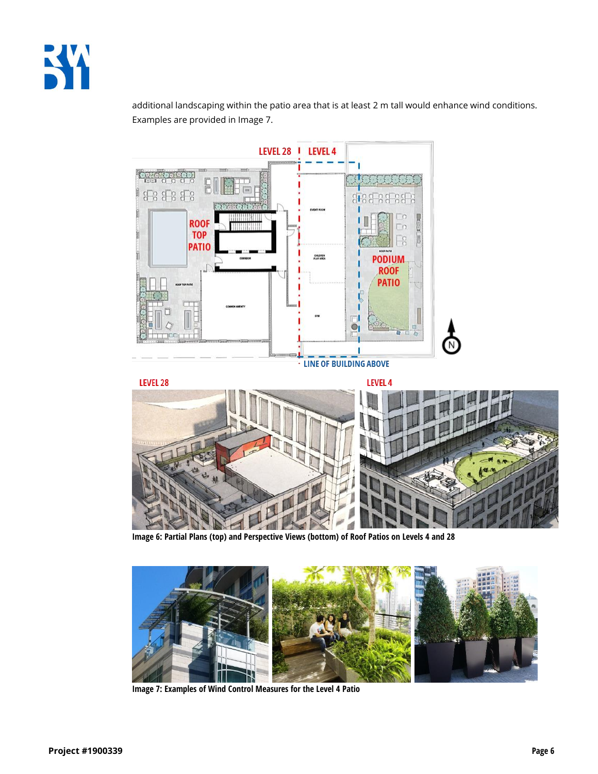

additional landscaping within the patio area that is at least 2 m tall would enhance wind conditions. Examples are provided in Image 7.



**Image 6: Partial Plans (top) and Perspective Views (bottom) of Roof Patios on Levels 4 and 28**



**Image 7: Examples of Wind Control Measures for the Level 4 Patio**